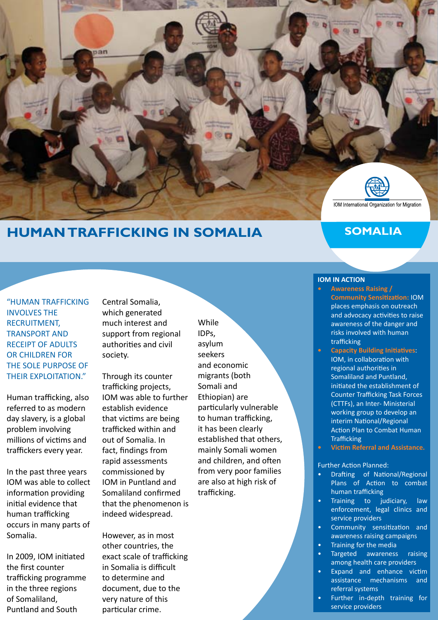

# **HUMAN TRAFFICKING IN SOMALIA**

## **SOMALIA**

"HUMAN TRAFFICKING INVOLVES THE RECRUITMENT, TRANSPORT AND RECEIPT OF ADULTS OR CHILDREN FOR THE SOLE PURPOSE OF THEIR EXPLOITATION."

Human trafficking, also referred to as modern day slavery, is a global problem involving millions of victims and traffickers every year.

In the past three years IOM was able to collect information providing initial evidence that human trafficking occurs in many parts of Somalia.

In 2009, IOM initiated the first counter trafficking programme in the three regions of Somaliland, Puntland and South

Central Somalia, which generated much interest and support from regional authorities and civil society.

Through its counter trafficking projects, IOM was able to further establish evidence that victims are being trafficked within and out of Somalia. In fact, findings from rapid assessments commissioned by IOM in Puntland and Somaliland confirmed that the phenomenon is indeed widespread.

However, as in most other countries, the exact scale of trafficking in Somalia is difficult to determine and document, due to the very nature of this particular crime.

While IDPs, asylum seekers and economic migrants (both Somali and Ethiopian) are particularly vulnerable to human trafficking, it has been clearly established that others, mainly Somali women and children, and often from very poor families are also at high risk of trafficking.

**IOM IN ACTION**

- **• Awareness Raising / Community Sensitization:** IOM places emphasis on outreach and advocacy activities to raise awareness of the danger and risks involved with human trafficking
- **• Capacity Building Initiatives**: IOM, in collaboration with regional authorities in Somaliland and Puntland, initiated the establishment of Counter Trafficking Task Forces (CTTFs), an Inter- Ministerial working group to develop an interim National/Regional Action Plan to Combat Human **Trafficking**
- **• Victim Referral and Assistance.**

#### Further Action Planned:

- Drafting of National/Regional Plans of Action to combat human trafficking
- Training to judiciary, law enforcement, legal clinics and service providers
- Community sensitization and awareness raising campaigns
- Training for the media
- Targeted awareness raising among health care providers
- Expand and enhance victim assistance mechanisms and referral systems
- Further in-depth training for service providers